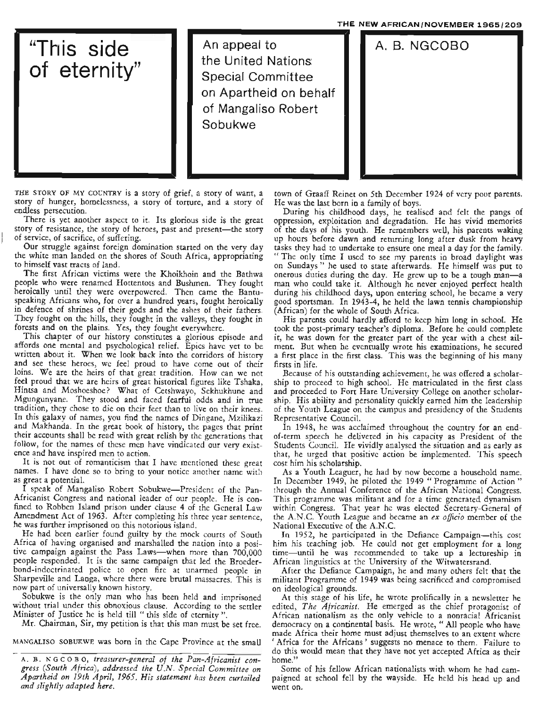THE NEW AFRICAN/NOVEMBER 1965/209 **Parappeal to** "This side of eternity" An appeal to the United Nations: Special Committee on Apartheid on behalf of Mangaliso Robert Sobukwe A.B.NGCOBO

THE STORY OF MY COUNTRY is a story of grief, a story of want, a story of hunger, homelessness, a story of torture, and a story of endless persecution.

There is yet another aspect to it. Its glorious side is the great story of resistance, the story of heroes, past and present-the story of service, of sacrifice, of suffering.

Our struggle against foreign domination started on the very day the white man landed on the shores of South Africa, appropriating to himself vast tracts of land.

The first African victims were the Khoikhoin and the Bathwa people who were renamed Hottentots and Bushmen. They fought heroically until they were overpowered. Then came the Bantuspeaking Africans who, for over a hundred years, fought heroically in defence of shrines of their gods and the ashes of their fathers. They fought on the hills, they fought in the valleys, they fought in forests and on the plains. Yes, they fought everywhere.

This chapter of our history constitutes a glorious episode and affords one mental and psychological relief. Epics have yet to be written about it. When we look back into the corridors of history and see these heroes, we feel proud to have come out of their loins. We are the heirs of that great tradition. How can we not feel proud that we are heirs of great historical figures like Tshaka, Hintsa and Moshoeshoe? What of Cetshwayo, Sekhukhune and Mgungunyane. They stood and faced fearful odds and in true tradition, they chose to die on their feet than to live on their knees. In this galaxy of names, you find the names of Dingane, Mzilikazi and Makhanda. In the great book of history, the pages that print their accounts shall be read with great relish by the generations that follow, for the names of these men have vindicated our very existence and have inspired men to action.

It is not out of romanticism that I have mentioned these great names. I have done so to bring to your notice another name with as great a potential.

I speak of Mangaliso Robert Sobukwe-President of the Pan-Africanist Congress and national leader of our people. He is confined to Robben Island prison under clause 4 of the General Law Amendment Act of 1963. After completing his three year sentence, he was further imprisoned on this notorious island.

He had been earlier found guilty by the mock courts of South Africa of having organised and marshalled the nation into a positive campaign against the Pass Laws-when more than 700,000 people responded. It is the same campaign that led the Broederbond-indoctrinated police to open fire at unarmed people in Sharpeville and Langa, where there were brutal massacres. This is now part of universally known history.

Sobukwe is the only man who has been held and imprisoned without trial under this obnoxious clause. According to the settler Minister of Justice he is held till "this side of eternity".

Mr. Chairman, Sir, my petition is that this man must be set free.

MANGALISO SOBUKWE was born in the Cape Province at the small

town of Graaff Reinet on 5th December 1924 of very poor parents. He was the last born in a family of boys.

During his childhood days, he realised and felt the pangs of oppression, exploitation and degradation. He has vivid memories of the days of his youth. He remembers well, his parents waking up hours before dawn and returning long after dusk from heavy tasks they had to undertake to ensure one meal a day for the family. "The only time I used to see my parents in broad daylight was on Sundays" he used to state afterwards. He himself was put to onerous duties during the day. He grew up to be a tough man-a man who could take it. Although he never enjoyed perfect health during his childhood days, upon entering school, he became a very good sportsman. In 1943-4, he held the lawn tennis championship (African) for the whole of South Africa.

His parents could hardly afford to keep him long in school. He took the post-primary teacher's diploma. Before he could complete it, he was down for the greater part of the year with a chest ailment. But when he eventually wrote his examinations, he secured a first place in the first class. This was the beginning of his many firsts in life.

Because of his outstanding achievement, he was offered a scholarship to proceed to high school. He matriculated in the first class and proceeded to Fort Hare University College on another scholarship. His ability and personality quickly earned him the leadership of the Youth League on the campus and presidency of the Students Representative Council.

In 1948, he was acclaimed throughout the country fot an endof-term speech he delivered in his capacity as President of the Students Council. He vividly analysed the situation and as early as that, he urged that positive action be implemented. This speech cost him his scholarship.

As a Youth Leaguer, he had by now become a household name. In December 1949, he piloted the 1949 "Programme of Action" through the Annual Conference of the African National Congress. This programme was militant and for a time generated dynamism within Congress. That year he was elected Secretary-General of the A.N.C. Youth League and became an *ex officio* member of the National Executive of the A.N.C.

In 1952, he participated in the Defiance Campaign-this cost him his teaching job. He could not get employment for a long time-until he was recommended to take up a lectureship in African linguistics at the University of the Witwatersrand.

After the Defiance Campaign, he and many others felt that the militant Programme of 1949 was being sacrificed and compromised on ideological grounds.

At this stage of his life, he wrote prolifically in a newsletter he edited, *The Africanist.* He emerged as the chief protagonist of African nationalism as the only vehicle to a nonracial Africanist democracy on a continental basis. He wrote, " All people who have made Africa their home must adjust themselves to an extent where , Africa for the Africans' suggests no menace to them. Failure to do this would mean that they have not yet accepted Africa as their home.'

Some of his fellow African nationalists with whom he had campaigned at school fell by the wayside. He held his head up and went on.

A. B. NGCOBO, *treasurer-general of the Pan-Africanist congress (South Africa), addressed the U.N. Special Committee on Apartheid on 19th April,* 1965. *His statement has been curtailed and slightly adapted here.*